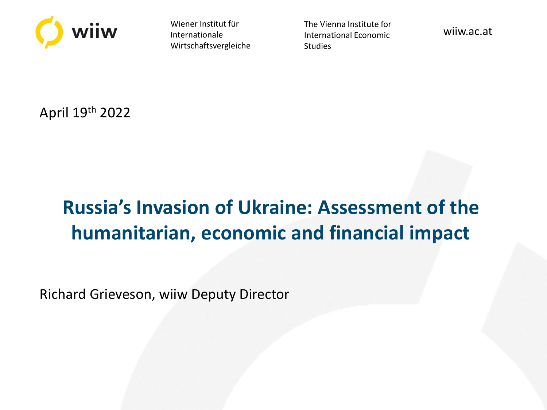

Wiener Institut für Internationale Wirtschaftsvergleiche The Vienna Institute for International Economic **Studies** 

wiiw.ac.at

April 19th 2022

# **Russia's Invasion of Ukraine: Assessment of the humanitarian, economic and financial impact**

Richard Grieveson, wiiw Deputy Director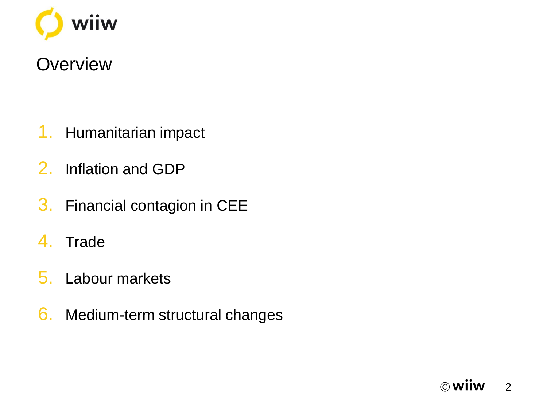

### **Overview**

- 1. Humanitarian impact
- 2. Inflation and GDP
- 3. Financial contagion in CEE
- 4. Trade
- 5. Labour markets
- 6. Medium-term structural changes

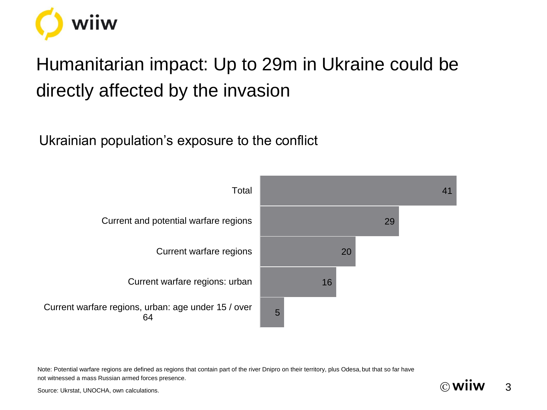

# Humanitarian impact: Up to 29m in Ukraine could be directly affected by the invasion

Ukrainian population's exposure to the conflict



Note: Potential warfare regions are defined as regions that contain part of the river Dnipro on their territory, plus Odesa, but that so far have not witnessed a mass Russian armed forces presence.



Source: Ukrstat, UNOCHA, own calculations.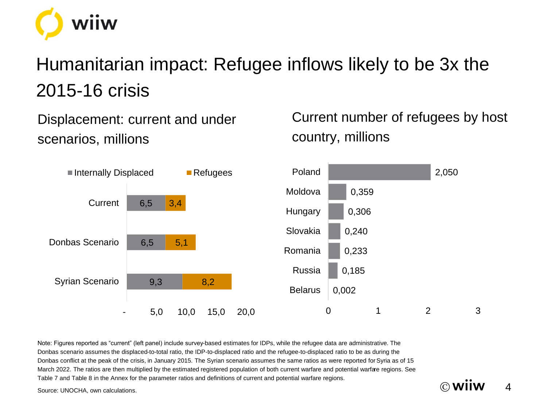

# Humanitarian impact: Refugee inflows likely to be 3x the 2015-16 crisis

Displacement: current and under scenarios, millions

Current number of refugees by host country, millions

 $\circledcirc$  Wiiw 4



Note: Figures reported as "current" (left panel) include survey-based estimates for IDPs, while the refugee data are administrative. The Donbas scenario assumes the displaced-to-total ratio, the IDP-to-displaced ratio and the refugee-to-displaced ratio to be as during the Donbas conflict at the peak of the crisis, in January 2015. The Syrian scenario assumes the same ratios as were reported for Syria as of 15 March 2022. The ratios are then multiplied by the estimated registered population of both current warfare and potential warfare regions. See Table 7 and Table 8 in the Annex for the parameter ratios and definitions of current and potential warfare regions.

Source: UNOCHA, own calculations.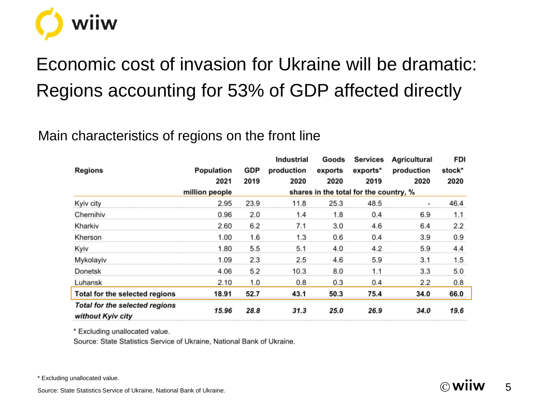

# Economic cost of invasion for Ukraine will be dramatic: Regions accounting for 53% of GDP affected directly

### Main characteristics of regions on the front line

|                                                     |                |      | Industrial                             | Goods   | <b>Services</b> | Agricultural | FDI    |  |
|-----------------------------------------------------|----------------|------|----------------------------------------|---------|-----------------|--------------|--------|--|
| Regions                                             | Population     | GDP  | production                             | exports | exports*        | production   | stock* |  |
|                                                     | 2021           | 2019 | 2020                                   | 2020    | 2019            | 2020         | 2020   |  |
|                                                     | million people |      | shares in the total for the country, % |         |                 |              |        |  |
| Kyiv city                                           | 2.95           | 23.9 | 11.8                                   | 25.3    | 48.5            | ۰            | 46.4   |  |
| Chernihiv                                           | 0.96           | 2.0  | 1.4                                    | 1.8     | 0.4             | 6.9          | 1.1    |  |
| Kharkiv                                             | 2.60           | 6.2  | 7.1                                    | 3.0     | 4.6             | 6.4          | 2.2    |  |
| Kherson                                             | 1.00           | 1.6  | 1.3                                    | 0.6     | 0.4             | 3.9          | 0.9    |  |
| Kyiv                                                | 1.80           | 5.5  | 5.1                                    | 4.0     | 4.2             | 5.9          | 4.4    |  |
| Mykolayiv                                           | 1.09           | 2.3  | 2.5                                    | 4.6     | 5.9             | 3.1          | 1.5    |  |
| Donetsk                                             | 4.06           | 5.2  | 10.3                                   | 8.0     | 1.1             | 3.3          | 5.0    |  |
| Luhansk                                             | 2.10           | 1.0  | 0.8                                    | 0.3     | 0.4             | 2.2          | 0.8    |  |
| Total for the selected regions                      | 18.91          | 52.7 | 43.1                                   | 50.3    | 75.4            | 34.0         | 66.0   |  |
| Total for the selected regions<br>without Kyiv city | 15.96          | 28.8 | 31.3                                   | 25.0    | 26.9            | 34.0         | 19.6   |  |

\* Excluding unallocated value.

Source: State Statistics Service of Ukraine, National Bank of Ukraine.

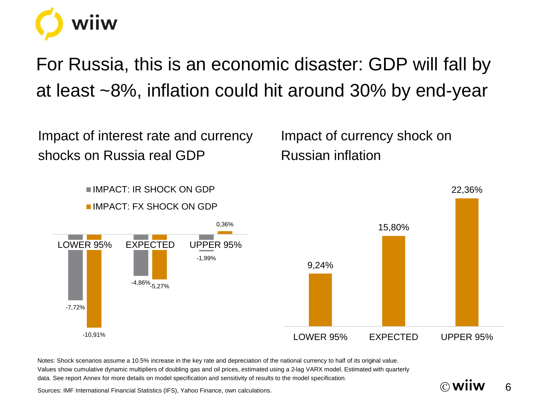

For Russia, this is an economic disaster: GDP will fall by at least ~8%, inflation could hit around 30% by end-year

Impact of interest rate and currency shocks on Russia real GDP

Impact of currency shock on Russian inflation

 $\circledcirc$  wiiw 6



Notes: Shock scenarios assume a 10.5% increase in the key rate and depreciation of the national currency to half of its original value. Values show cumulative dynamic multipliers of doubling gas and oil prices, estimated using a 2-lag VARX model. Estimated with quarterly data. See report Annex for more details on model specification and sensitivity of results to the model specification.

Sources: IMF International Financial Statistics (IFS), Yahoo Finance, own calculations.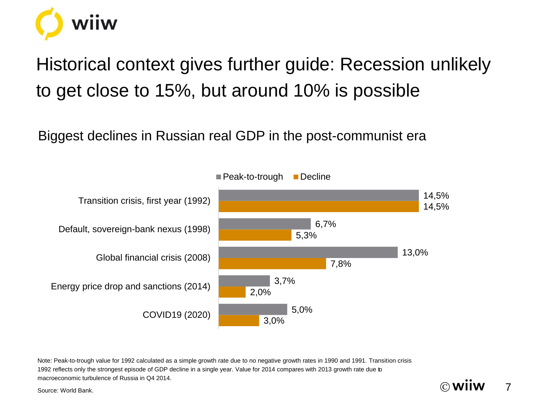

Historical context gives further guide: Recession unlikely to get close to 15%, but around 10% is possible

Biggest declines in Russian real GDP in the post-communist era



 $\circledcirc$  Wiiw 7

Note: Peak-to-trough value for 1992 calculated as a simple growth rate due to no negative growth rates in 1990 and 1991. Transition crisis 1992 reflects only the strongest episode of GDP decline in a single year. Value for 2014 compares with 2013 growth rate due to macroeconomic turbulence of Russia in Q4 2014.

Source: World Bank.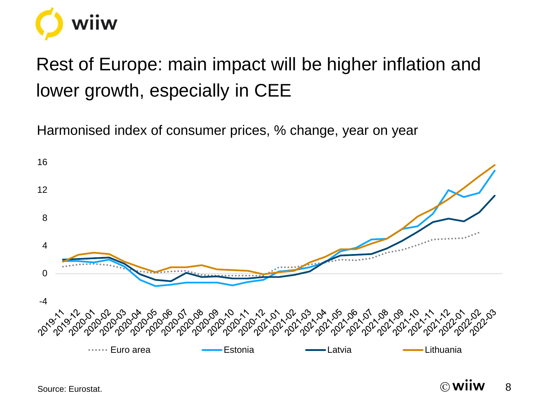

# Rest of Europe: main impact will be higher inflation and lower growth, especially in CEE

Harmonised index of consumer prices, % change, year on year



Source: Eurostat.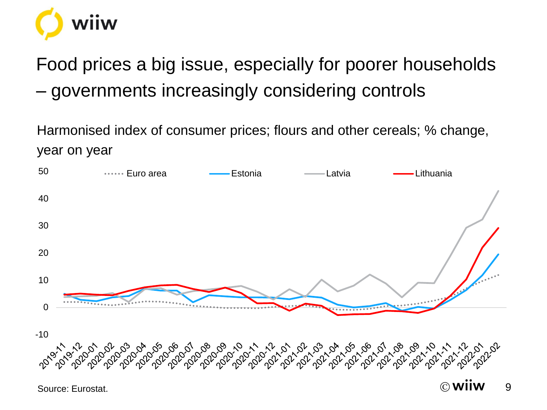

Food prices a big issue, especially for poorer households – governments increasingly considering controls

Harmonised index of consumer prices; flours and other cereals; % change, year on year

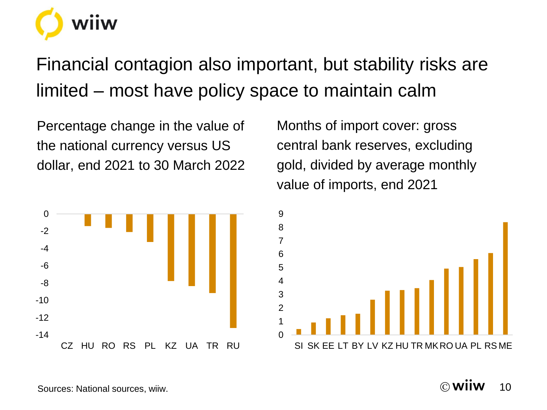Financial contagion also important, but stability risks are limited – most have policy space to maintain calm

Percentage change in the value of the national currency versus US dollar, end 2021 to 30 March 2022



Months of import cover: gross central bank reserves, excluding gold, divided by average monthly value of imports, end 2021

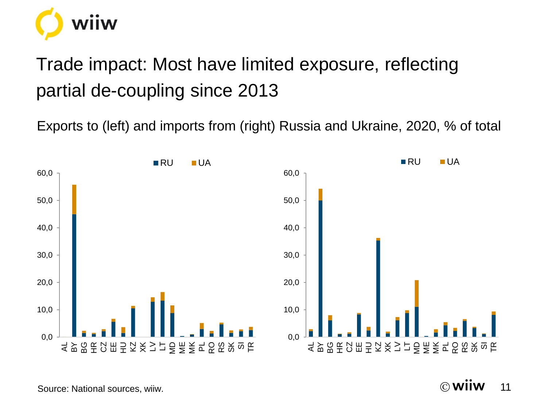

# Trade impact: Most have limited exposure, reflecting partial de-coupling since 2013

Exports to (left) and imports from (right) Russia and Ukraine, 2020, % of total



 $\circledcirc$  Wiiw 11

Source: National sources, wiiw.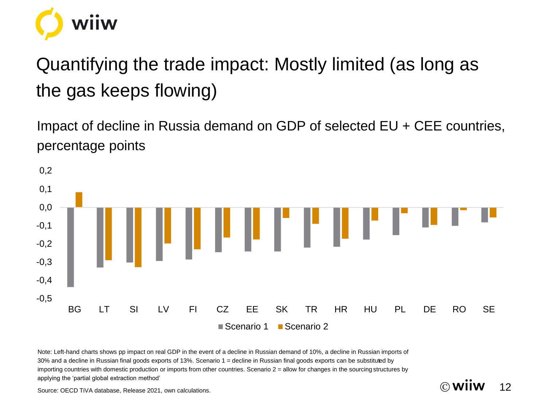

# Quantifying the trade impact: Mostly limited (as long as the gas keeps flowing)

Impact of decline in Russia demand on GDP of selected EU + CEE countries, percentage points



 $\circledcirc$  Wiiw 12

Note: Left-hand charts shows pp impact on real GDP in the event of a decline in Russian demand of 10%, a decline in Russian imports of 30% and a decline in Russian final goods exports of 13%. Scenario 1 = decline in Russian final goods exports can be substituted by importing countries with domestic production or imports from other countries. Scenario  $2 =$  allow for changes in the sourcing structures by applying the 'partial global extraction method'

Source: OECD TiVA database, Release 2021, own calculations.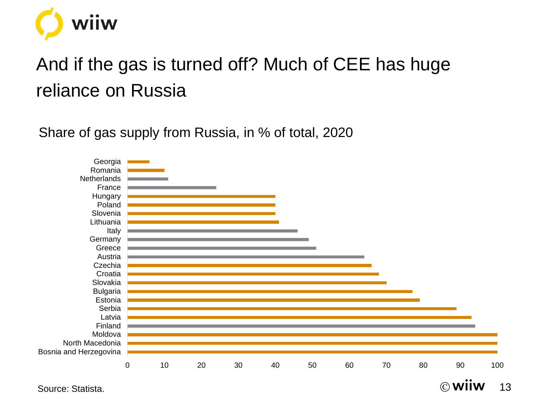

# And if the gas is turned off? Much of CEE has huge reliance on Russia

Share of gas supply from Russia, in % of total, 2020

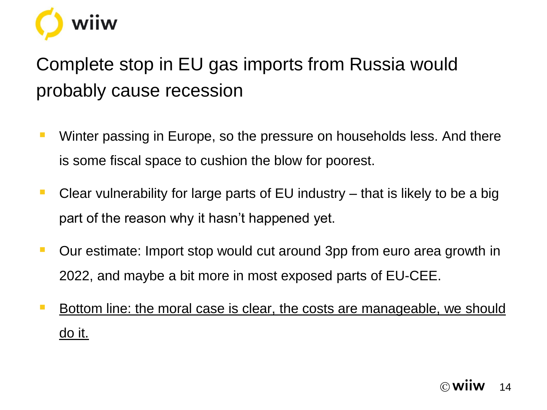

# Complete stop in EU gas imports from Russia would probably cause recession

- Winter passing in Europe, so the pressure on households less. And there is some fiscal space to cushion the blow for poorest.
- Clear vulnerability for large parts of EU industry that is likely to be a big part of the reason why it hasn't happened yet.
- Our estimate: Import stop would cut around 3pp from euro area growth in 2022, and maybe a bit more in most exposed parts of EU-CEE.
- **EXTEDE:** Bottom line: the moral case is clear, the costs are manageable, we should do it.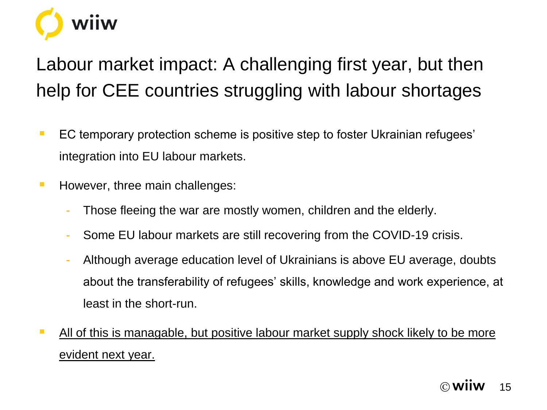

# Labour market impact: A challenging first year, but then help for CEE countries struggling with labour shortages

- EC temporary protection scheme is positive step to foster Ukrainian refugees' integration into EU labour markets.
- However, three main challenges:
	- Those fleeing the war are mostly women, children and the elderly.
	- Some EU labour markets are still recovering from the COVID-19 crisis.
	- Although average education level of Ukrainians is above EU average, doubts about the transferability of refugees' skills, knowledge and work experience, at least in the short-run.
- **E** All of this is managable, but positive labour market supply shock likely to be more evident next year.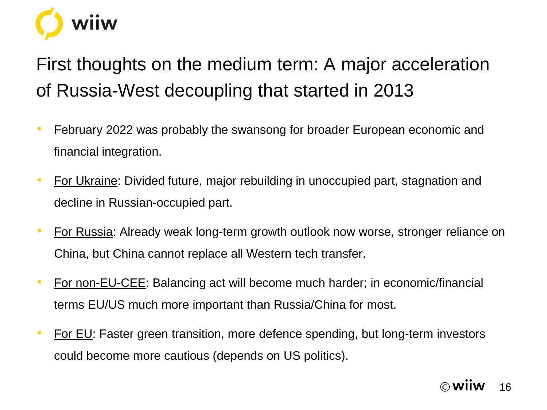

First thoughts on the medium term: A major acceleration of Russia-West decoupling that started in 2013

- February 2022 was probably the swansong for broader European economic and financial integration.
- For Ukraine: Divided future, major rebuilding in unoccupied part, stagnation and decline in Russian-occupied part.
- For Russia: Already weak long-term growth outlook now worse, stronger reliance on China, but China cannot replace all Western tech transfer.
- For non-EU-CEE: Balancing act will become much harder; in economic/financial terms EU/US much more important than Russia/China for most.
- For EU: Faster green transition, more defence spending, but long-term investors could become more cautious (depends on US politics).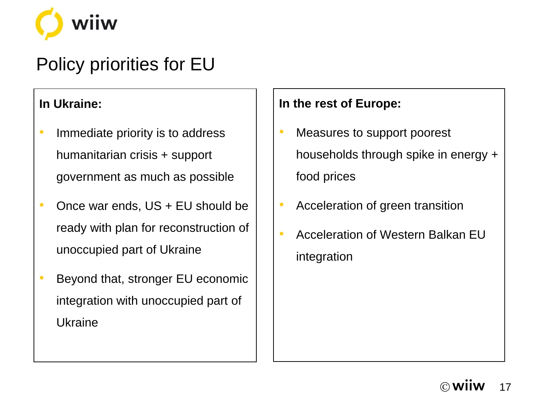

## Policy priorities for EU

#### **In Ukraine:**

- Immediate priority is to address humanitarian crisis + support government as much as possible
- Once war ends, US + EU should be ready with plan for reconstruction of unoccupied part of Ukraine
- Beyond that, stronger EU economic integration with unoccupied part of Ukraine

### **In the rest of Europe:**

- Measures to support poorest households through spike in energy + food prices
- Acceleration of green transition
- Acceleration of Western Balkan EU integration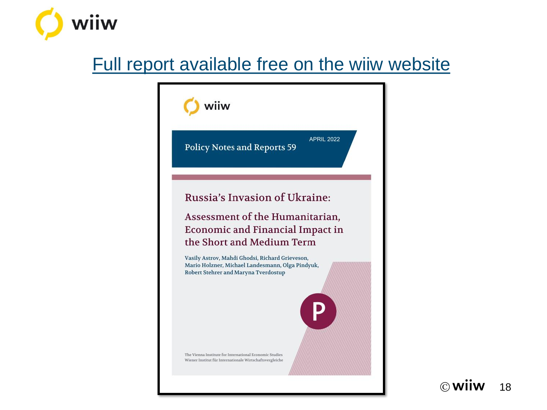

### [Full report available free on the wiiw](https://wiiw.ac.at/russia-s-invasion-of-ukraine-assessment-of-the-humanitarian-economic-and-financial-impact-in-the-short-and-medium-term-p-6132.html) website



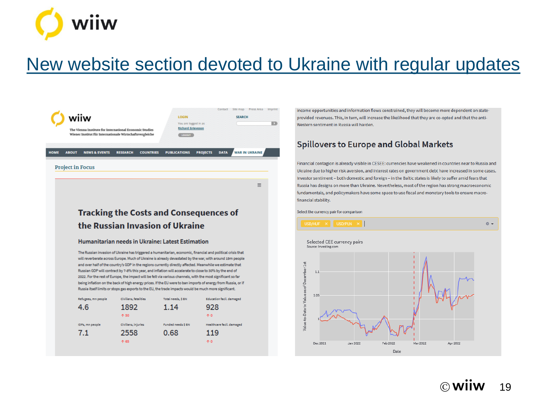

### [New website section devoted to Ukraine with regular updates](https://wiiw.ac.at/ukraine-c-101.html)

 $\equiv$ 



**Tracking the Costs and Consequences of** the Russian Invasion of Ukraine

#### Humanitarian needs in Ukraine: Latest Estimation

The Russian invasion of Ukraine has triggered a humanitarian, economic, financial and political crisis that will reverberate across Europe. Much of Ukraine is already devastated by the war, with around 19m people and over half of the country's GDP in the regions currently directly affected. Meanwhile we estimate that Russian GDP will contract by 7-8% this year, and inflation will accelerate to close to 30% by the end of 2022. For the rest of Europe, the impact will be felt via various channels, with the most significant so far being inflation on the back of high energy prices. If the EU were to ban imports of energy from Russia, or if Russia itself limits or stops gas exports to the EU, the trade impacts would be much more significant.

| Refugees, mn people | Civilians, fatalities | Total needs, \$ BN | <b>Education facil, damaged</b> |
|---------------------|-----------------------|--------------------|---------------------------------|
| 4.6                 | 1892                  | 1.14               | 928                             |
|                     | ↑ 50                  |                    | <b>10</b>                       |
| IDPs, mn people     | Civilians, injuries   | Funded needs \$ BN | Healthcare facil, damaged       |
|                     |                       |                    |                                 |
| 7.1                 | 2558                  | 0.68               | 119                             |

income opportunities and information flows constrained, they will become more dependent on stateprovided revenues. This, in turn, will increase the likelihood that they are co-opted and that the anti-Western sentiment in Russia will harden.

#### **Spillovers to Europe and Global Markets**

Financial contagion is already visible in CESEE: currencies have weakened in countries near to Russia and Ukraine due to higher risk aversion, and interest rates on government debt have increased in some cases. Investor sentiment - both domestic and foreign - in the Baltic states is likely to suffer amid fears that Russia has designs on more than Ukraine. Nevertheless, most of the region has strong macroeconomic fundamentals, and policymakers have some space to use fiscal and monetary tools to ensure macrofinancial stability.

Select the currency pair for comparison

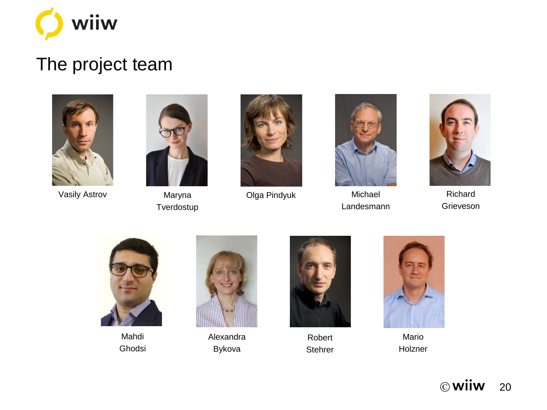

### The project team



Vasily Astrov



Maryna **Tverdostup** 



Olga Pindyuk Michael



Landesmann



Richard Grieveson



Mahdi Ghodsi



Alexandra Bykova



Robert **Stehrer** 



Mario Holzner

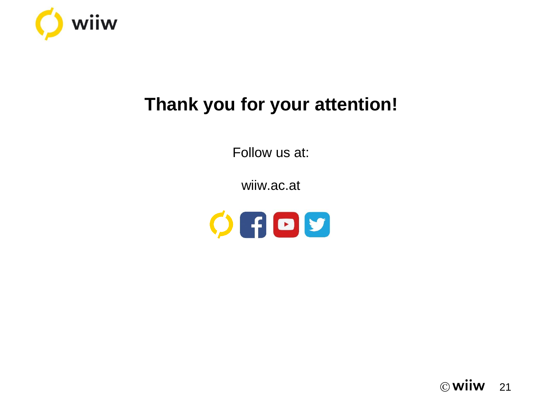

## **Thank you for your attention!**

Follow us at:

wiiw.ac.at



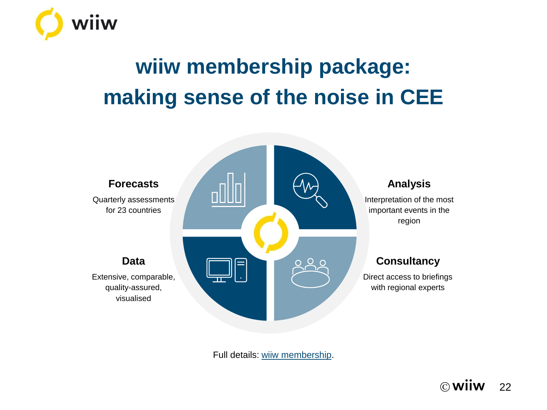

# **wiiw membership package: making sense of the noise in CEE**



Full details: [wiiw membership](https://wiiw.ac.at/subscriptions-and-membership.html).

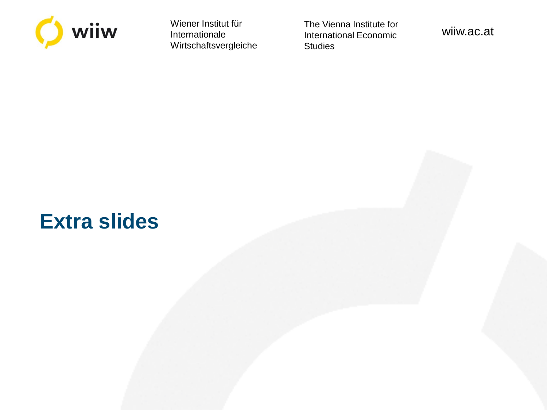

Wiener Institut für Internationale Wirtschaftsvergleiche The Vienna Institute for International Economic **Studies** 

wiiw.ac.at

# **Extra slides**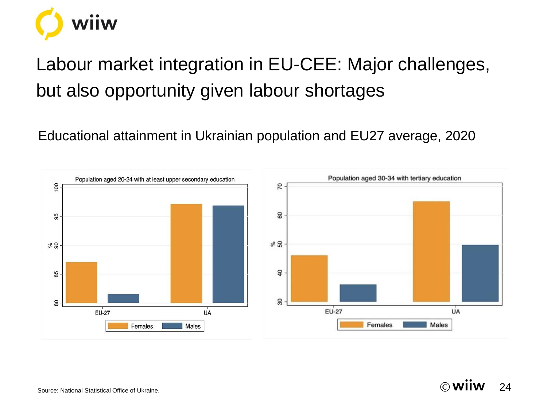

# Labour market integration in EU-CEE: Major challenges, but also opportunity given labour shortages

Educational attainment in Ukrainian population and EU27 average, 2020

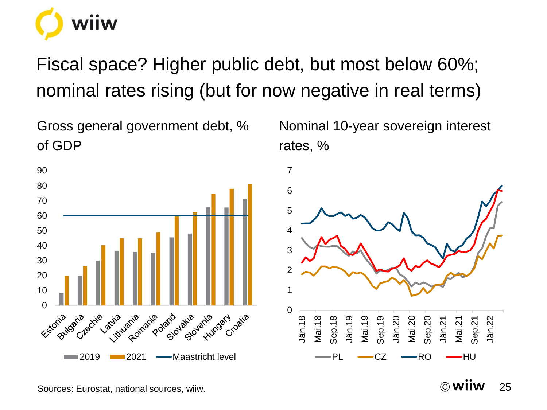

Fiscal space? Higher public debt, but most below 60%; nominal rates rising (but for now negative in real terms)

Gross general government debt, % of GDP



Nominal 10-year sovereign interest rates, %



Sources: Eurostat, national sources, wiiw.

 $\circledcirc$  Wilw 25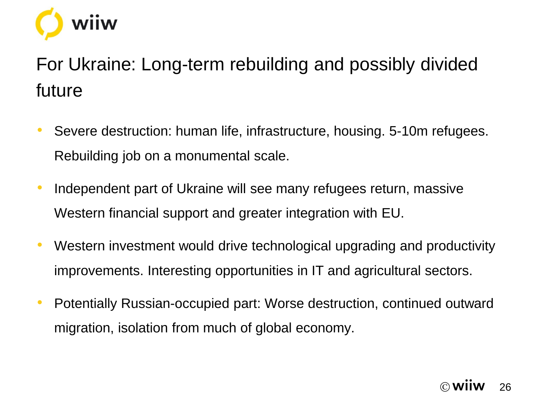

# For Ukraine: Long-term rebuilding and possibly divided future

- Severe destruction: human life, infrastructure, housing. 5-10m refugees. Rebuilding job on a monumental scale.
- Independent part of Ukraine will see many refugees return, massive Western financial support and greater integration with EU.
- Western investment would drive technological upgrading and productivity improvements. Interesting opportunities in IT and agricultural sectors.
- Potentially Russian-occupied part: Worse destruction, continued outward migration, isolation from much of global economy.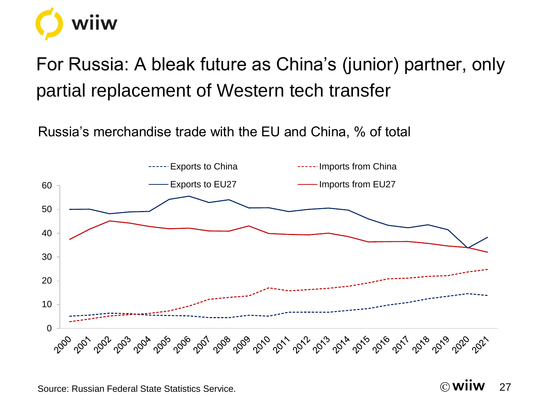

# For Russia: A bleak future as China's (junior) partner, only partial replacement of Western tech transfer

Russia's merchandise trade with the EU and China, % of total



Source: Russian Federal State Statistics Service.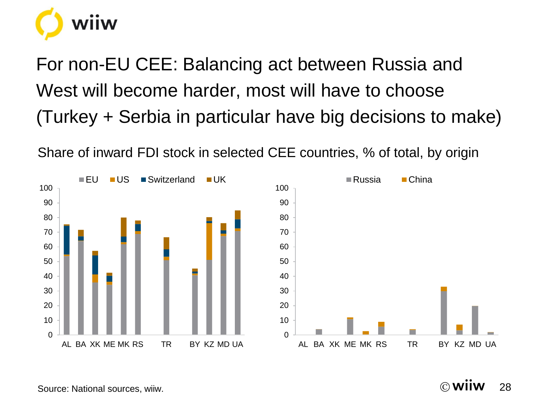

For non-EU CEE: Balancing act between Russia and West will become harder, most will have to choose (Turkey + Serbia in particular have big decisions to make)

Share of inward FDI stock in selected CEE countries, % of total, by origin



© 28